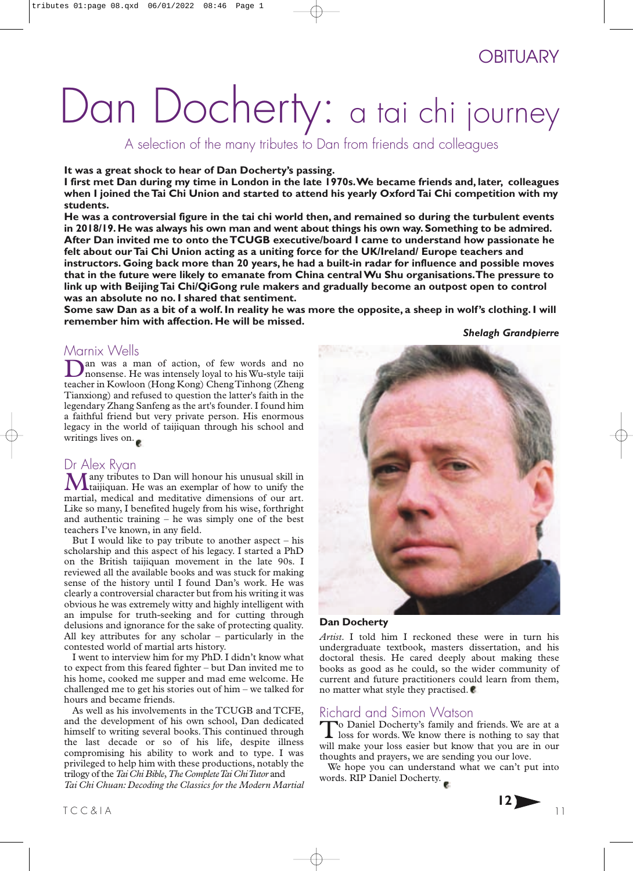# **OBITUARY**

# Dan Docherty: a tai chi journey

# A selection of the many tributes to Dan from friends and colleagues

**It was a great shock to hear of Dan Docherty's passing.**

**I first met Dan during my time in London in the late 1970s.We became friends and, later, colleagues** when I joined the Tai Chi Union and started to attend his yearly Oxford Tai Chi competition with my **students.**

He was a controversial figure in the tai chi world then, and remained so during the turbulent events **in 2018/19. He was always his own man and went about things his own way. Something to be admired.** After Dan invited me to onto the TCUGB executive/board I came to understand how passionate he **felt about our Tai Chi Union acting as a uniting force for the UK/Ireland/ Europe teachers and** instructors. Going back more than 20 years, he had a built-in radar for influence and possible moves **that in the future were likely to emanate from China centralWu Shu organisations.The pressure to link up with Beijing Tai Chi/QiGong rule makers and gradually become an outpost open to control** was an absolute no no. I shared that sentiment.

**Some saw Dan as a bit of a wolf. In reality he was more the opposite, a sheep in wolf's clothing. I will remember him with affection. He will be missed.**

### *Shelagh Grandpierre*

Marnix Wells<br>**Nan** was a man of action, of few words and no Dan was a man of action, of few words and no<br>nonsense. He was intensely loyal to his Wu-style taiji teacher in Kowloon (Hong Kong) ChengTinhong (Zheng Tianxiong) and refused to question the latter's faith in the legendary Zhang Sanfeng as the art's founder. I found him a faithful friend but very private person. His enormous legacy in the world of taijiquan through his school and writings lives on.

## Dr Alex Ryan

Many tributes to Dan will honour his unusual skill in taijiquan. He was an exemplar of how to unify the martial, medical and meditative dimensions of our art. Like so many, I benefited hugely from his wise, forthright and authentic training  $-$  he was simply one of the best teachers I've known, in any field.

But I would like to pay tribute to another aspect – his scholarship and this aspect of his legacy. I started a PhD on the British taijiquan movement in the late 90s. I reviewed all the available books and was stuck for making sense of the history until I found Dan's work. He was clearly a controversial character but from his writing it was obvious he was extremely witty and highly intelligent with an impulse for truth-seeking and for cutting through delusions and ignorance for the sake of protecting quality. All key attributes for any scholar – particularly in the contested world of martial arts history.

I went to interview him for my PhD. I didn't know what to expect from this feared fighter – but Dan invited me to his home, cooked me supper and mad eme welcome. He challenged me to get his stories out of him – we talked for hours and became friends.

As well as his involvements in the TCUGB and TCFE, and the development of his own school, Dan dedicated himself to writing several books. This continued through the last decade or so of his life, despite illness compromising his ability to work and to type. I was privileged to help him with these productions, notably the trilogy of the *Tai Chi Bible*,*The CompleteTai ChiTutor* and

*Tai Chi Chuan: Decoding the Classics for the Modern Martial*



### **Dan Docherty**

Artist. I told him I reckoned these were in turn his undergraduate textbook, masters dissertation, and his doctoral thesis. He cared deeply about making these books as good as he could, so the wider community of current and future practitioners could learn from them, no matter what style they practised. ●

Richard and Simon Watson<br>To Daniel Docherty's family and friends. We are at a To Daniel Docherty's family and friends. We are at a loss for words. We know there is nothing to say that will make your loss easier but know that you are in our thoughts and prayers, we are sending you our love.

We hope you can understand what we can't put into words. RIP Daniel Docherty.